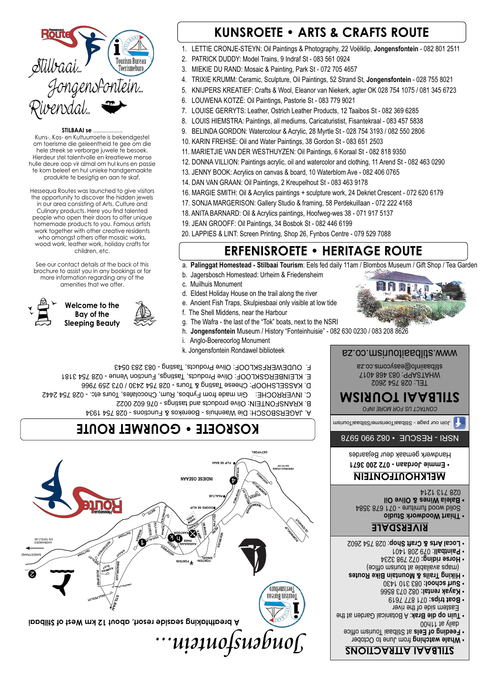# **KUNSROETE • ARTS & CRAFTS ROUTE**

- 1. LETTIE CRONJE-STEYN: Oil Paintings & Photography, 22 Voëlklip, **Jongensfontein** 082 801 2511
- 2. PATRICK DUDDY: Model Trains, 9 Indraf St 083 561 0924
- 3. MIEKIE DU RAND: Mosaic & Painting, Park St 072 705 4657
- 4. TRIXIE KRUMM: Ceramic, Sculpture, Oil Paintings, 52 Strand St, **Jongensfontein** 028 755 8021
- 5. KNIJPERS KREATIEF: Crafts & Wool, Eleanor van Niekerk, agter OK 028 754 1075 / 081 345 6723
- 6. LOUWENA KOTZÉ: Oil Paintings, Pastorie St 083 779 9021
- 7. LOUISE GERRYTS: Leather, Ostrich Leather Products, 12 Taaibos St 082 369 6285
- 8. LOUIS HIEMSTRA: Paintings, all mediums, Caricaturistist, Fisantekraal 083 457 5838
- 9. BELINDA GORDON: Watercolour & Acrylic, 28 Myrtle St 028 754 3193 / 082 550 2806
- 10. KARIN FREHSE: Oil and Water Paintings, 38 Gordon St 083 651 2503
- 11. MARIETJIE VAN DER WESTHUYZEN: Oil Paintings, 6 Koraal St 082 818 9350
- 12. DONNA VILLION: Paintings acrylic, oil and watercolor and clothing, 11 Arend St 082 463 0290
- 13. JENNY BOOK: Acrylics on canvas & board, 10 Waterblom Ave 082 406 0765
- 14. DAN VAN GRAAN: Oil Paintings, 2 Kreupelhout St 083 463 9178
- 16. MARGIE SMITH: Oil & Acrylics paintings + sculpture work, 24 Dekriet Crescent 072 620 6179
- 17. SONJA MARGERISON: Gallery Studio & framing, 58 Perdekuillaan 072 222 4168
- 18. ANITA BARNARD: Oil & Acrylics paintings, Hoofweg-wes 38 071 917 5137
- 19. JEAN GROOFF: Oil Paintings, 34 Bosbok St 082 446 6199
- 20. LAPPIES & LINT: Screen Printing, Shop 26, Fynbos Centre 079 529 7088



a. **Palinggat Homestead - Stilbaai Tourism**: Eels fed daily 11am / Blombos Museum / Gift Shop / Tea Garden

- **Whale watching from June to October ourism of Eels at Stilbaai Tourism office**
- $00$ daily at 1 lieb **betailly and the Brak: A Botanical Garden at the And the**  Eastern side of the river **071 877 878 170 801:11 808 •**
- 082 073 8566 **Kayak rental:**  083 310 1430 **Surf school:** •
- **rails & Mountain Bike Routes Hiking T** (maps available at tourism office)
- 
- 072 798 3234 **Horse riding:** •
- : 079 208 1401 **Paintball** •
- : 028 754 2602 **Arts & Craft Shop Local** •

**Journ Woodwork Studio** Solid wood furniture - 071 678 3584 **ines & Olive Oil • Baleia W** 028 713 1214

- b. Jagersbosch Homestead: Urheim & Friedensheim
- c. Muilhuis Monument
- d. Eldest Holiday House on the trail along the river
- e. Ancient Fish Traps, Skulpiesbaai only visible at low tide
- f. The Shell Middens, near the Harbour
- g. The Wafra the last of the "Tok" boats, next to the NSRI
- h. **Jongensfontein** Museum / History "Fonteinhuisie" 082 630 0230 / 083 208 8626
- i. Anglo-Boereoorlog Monument
- k. Jongensfontein Rondawel biblioteek

### **STILBAAI se** ...................

#### *ongensfontein... J* **SEEBRIES KERK FONTEIN PINGEL<br>FONTEIN-AAN- V KARA ARK P OOR KANT DEINING** を<br>屠 **MARGINE DASSIE ROMAN GRYSBOK BUSINAL REPORT OF A LIGHT ROAD KIDITAL BISHIDS AMOTYAO SEES** AASBANKIES TJIE AFEL T EN **STILBAA SKULPESLOT**<br>BOEGSPRIET<br>BOEGSPRIET **BRANDERLAAN ANKERSLOT CAGMON SLOT ROWER A breathtaking seaside resort, about 12 km West of Stilbaai STILBAAI OURISM BUREAU T OERISMEBURO <sup>T</sup> i** k k

Kuns-, Kos- en Kultuurroete is bekendgestel om toerisme die geleentheid te gee om die hele streek se verborge juwele te besoek. Hierdeur stel talentvolle en kreatiewe mense hulle deure oop vir almal om hul kuns en passie te kom beleef en hul unieke handgemaakte produkte te besigtig en aan te skaf.

Hessequa Routes was launched to give visitors the opportunity to discover the hidden jewels in our area consisting of Arts, Culture and Culinary products. Here you find talented people who open their doors to offer unique homemade products to you. Famous artists work together with other creative residents who amongst others offer mosaic works, wood work, leather work, holiday crafts for children, etc.

See our contact details at the back of this brochure to assist you in any bookings or for more information regarding any of the amenities that we offer.



## **STILBAAI ATTRACTIONS**

### **RIVERSDALE**

## **MELKHOUTFONTEIN**

**Emmie Jordaan - 072 200 3671** •

Handwerk gemaak deur Bejaardes

**STILBAAI TOURISM**

TEL: 028 754 2602 TSAPP: 083 468 4017 WHA stilbaaiinfo@easycoms.co.za .stilbaaitourism.co.za www

 *US FOR MORE INFO ACT CONT*

our page - StilbaaiToerisme/StilbaaiTourism

# **KOSROETE • GOURMET ROUTE**



- E. KLEINBERGSKLOOF: Olive Products, Tastings, Function Venue 028 754 3181
- D. KASSELSHOOP: Cheese Tasting & Tours 028 745 / 073 259 7966
- C. INVERROCHE: Gin made from Fynbos, Rum, Chocolates, Tours etc. 028 754 2442
	- B. KRANSFONTEIN: Olive products and tastings 076 602 0022
	- A. JAGERSBOSCH: Die Waenhuis Boerekos & Functions 028 754 1934

NSRI - RESCUE • 082 990 5978

## **ERFENISROETE • HERITAGE ROUTE**



SANDSTRAND

 $\boldsymbol{c}$